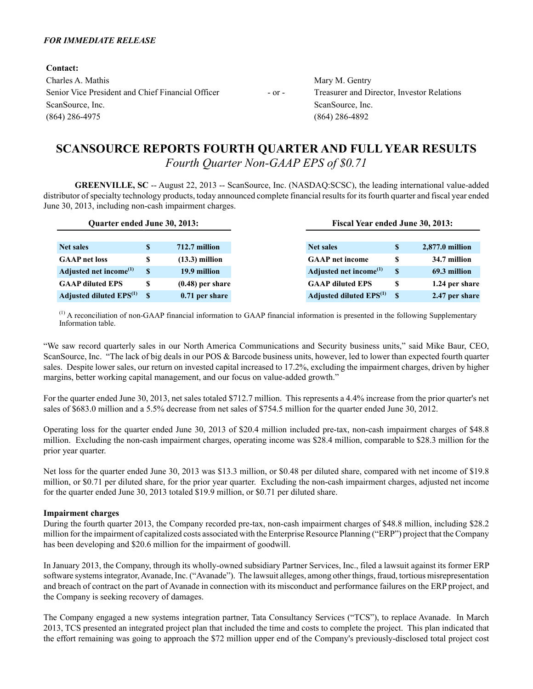#### *FOR IMMEDIATE RELEASE*

**Contact:** Charles A. Mathis Mary M. Gentry Senior Vice President and Chief Financial Officer - or - Treasurer and Director, Investor Relations ScanSource, Inc. ScanSource, Inc. ScanSource, Inc. (864) 286-4975 (864) 286-4892

# **SCANSOURCE REPORTS FOURTH QUARTER AND FULL YEAR RESULTS** *Fourth Quarter Non-GAAP EPS of \$0.71*

**GREENVILLE, SC** -- August 22, 2013 -- ScanSource, Inc. (NASDAQ:SCSC), the leading international value-added distributor of specialty technology products, today announced complete financial results for its fourth quarter and fiscal year ended June 30, 2013, including non-cash impairment charges.

| Quarter ended June 30, 2013:       |              |                    |
|------------------------------------|--------------|--------------------|
|                                    |              |                    |
| <b>Net sales</b>                   | S.           | 712.7 million      |
| <b>GAAP</b> net loss               | S            | $(13.3)$ million   |
| Adjusted net income <sup>(1)</sup> | <b>S</b>     | 19.9 million       |
| <b>GAAP</b> diluted EPS            | S            | $(0.48)$ per share |
| Adjusted diluted $EPS^{(1)}$       | $\mathbf{s}$ | 0.71 per share     |

 $<sup>(1)</sup>$  A reconciliation of non-GAAP financial information to GAAP financial information is presented in the following Supplementary</sup> Information table.

"We saw record quarterly sales in our North America Communications and Security business units," said Mike Baur, CEO, ScanSource, Inc. "The lack of big deals in our POS & Barcode business units, however, led to lower than expected fourth quarter sales. Despite lower sales, our return on invested capital increased to 17.2%, excluding the impairment charges, driven by higher margins, better working capital management, and our focus on value-added growth."

For the quarter ended June 30, 2013, net sales totaled \$712.7 million. This represents a 4.4% increase from the prior quarter's net sales of \$683.0 million and a 5.5% decrease from net sales of \$754.5 million for the quarter ended June 30, 2012.

Operating loss for the quarter ended June 30, 2013 of \$20.4 million included pre-tax, non-cash impairment charges of \$48.8 million. Excluding the non-cash impairment charges, operating income was \$28.4 million, comparable to \$28.3 million for the prior year quarter.

Net loss for the quarter ended June 30, 2013 was \$13.3 million, or \$0.48 per diluted share, compared with net income of \$19.8 million, or \$0.71 per diluted share, for the prior year quarter. Excluding the non-cash impairment charges, adjusted net income for the quarter ended June 30, 2013 totaled \$19.9 million, or \$0.71 per diluted share.

#### **Impairment charges**

During the fourth quarter 2013, the Company recorded pre-tax, non-cash impairment charges of \$48.8 million, including \$28.2 million for the impairment of capitalized costs associated with the Enterprise Resource Planning ("ERP") project that the Company has been developing and \$20.6 million for the impairment of goodwill.

In January 2013, the Company, through its wholly-owned subsidiary Partner Services, Inc., filed a lawsuit against its former ERP software systems integrator, Avanade, Inc. ("Avanade"). The lawsuit alleges, among other things, fraud, tortious misrepresentation and breach of contract on the part of Avanade in connection with its misconduct and performance failures on the ERP project, and the Company is seeking recovery of damages.

The Company engaged a new systems integration partner, Tata Consultancy Services ("TCS"), to replace Avanade. In March 2013, TCS presented an integrated project plan that included the time and costs to complete the project. This plan indicated that the effort remaining was going to approach the \$72 million upper end of the Company's previously-disclosed total project cost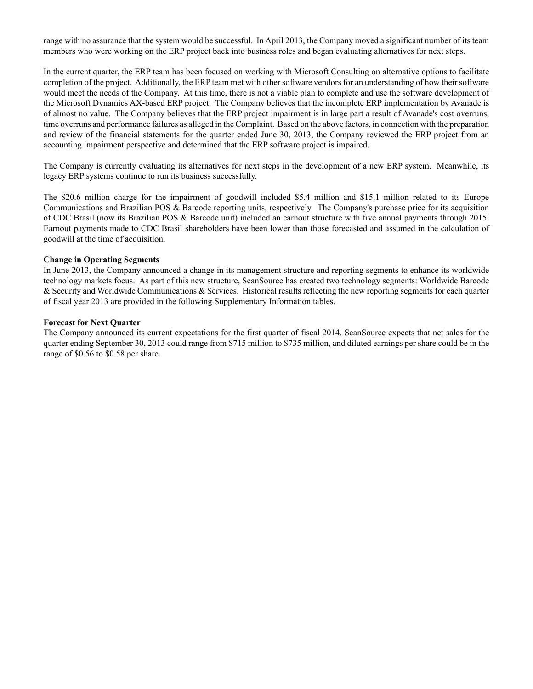range with no assurance that the system would be successful. In April 2013, the Company moved a significant number of its team members who were working on the ERP project back into business roles and began evaluating alternatives for next steps.

In the current quarter, the ERP team has been focused on working with Microsoft Consulting on alternative options to facilitate completion of the project. Additionally, the ERP team met with other software vendors for an understanding of how their software would meet the needs of the Company. At this time, there is not a viable plan to complete and use the software development of the Microsoft Dynamics AX-based ERP project. The Company believes that the incomplete ERP implementation by Avanade is of almost no value. The Company believes that the ERP project impairment is in large part a result of Avanade's cost overruns, time overruns and performance failures as alleged in the Complaint. Based on the above factors, in connection with the preparation and review of the financial statements for the quarter ended June 30, 2013, the Company reviewed the ERP project from an accounting impairment perspective and determined that the ERP software project is impaired.

The Company is currently evaluating its alternatives for next steps in the development of a new ERP system. Meanwhile, its legacy ERP systems continue to run its business successfully.

The \$20.6 million charge for the impairment of goodwill included \$5.4 million and \$15.1 million related to its Europe Communications and Brazilian POS & Barcode reporting units, respectively. The Company's purchase price for its acquisition of CDC Brasil (now its Brazilian POS & Barcode unit) included an earnout structure with five annual payments through 2015. Earnout payments made to CDC Brasil shareholders have been lower than those forecasted and assumed in the calculation of goodwill at the time of acquisition.

#### **Change in Operating Segments**

In June 2013, the Company announced a change in its management structure and reporting segments to enhance its worldwide technology markets focus. As part of this new structure, ScanSource has created two technology segments: Worldwide Barcode & Security and Worldwide Communications & Services. Historical results reflecting the new reporting segments for each quarter of fiscal year 2013 are provided in the following Supplementary Information tables.

#### **Forecast for Next Quarter**

The Company announced its current expectations for the first quarter of fiscal 2014. ScanSource expects that net sales for the quarter ending September 30, 2013 could range from \$715 million to \$735 million, and diluted earnings per share could be in the range of \$0.56 to \$0.58 per share.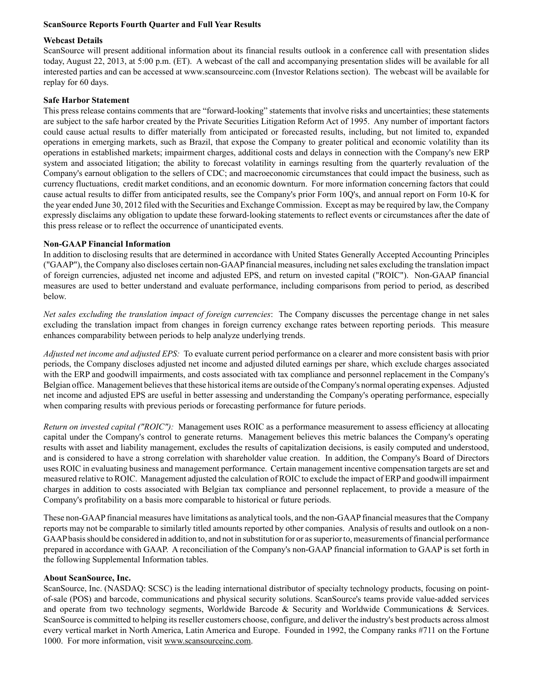### **Webcast Details**

ScanSource will present additional information about its financial results outlook in a conference call with presentation slides today, August 22, 2013, at 5:00 p.m. (ET). A webcast of the call and accompanying presentation slides will be available for all interested parties and can be accessed at www.scansourceinc.com (Investor Relations section). The webcast will be available for replay for 60 days.

### **Safe Harbor Statement**

This press release contains comments that are "forward-looking" statements that involve risks and uncertainties; these statements are subject to the safe harbor created by the Private Securities Litigation Reform Act of 1995. Any number of important factors could cause actual results to differ materially from anticipated or forecasted results, including, but not limited to, expanded operations in emerging markets, such as Brazil, that expose the Company to greater political and economic volatility than its operations in established markets; impairment charges, additional costs and delays in connection with the Company's new ERP system and associated litigation; the ability to forecast volatility in earnings resulting from the quarterly revaluation of the Company's earnout obligation to the sellers of CDC; and macroeconomic circumstances that could impact the business, such as currency fluctuations, credit market conditions, and an economic downturn. For more information concerning factors that could cause actual results to differ from anticipated results, see the Company's prior Form 10Q's, and annual report on Form 10-K for the year ended June 30, 2012 filed with the Securities and Exchange Commission. Except as may be required by law, the Company expressly disclaims any obligation to update these forward-looking statements to reflect events or circumstances after the date of this press release or to reflect the occurrence of unanticipated events.

### **Non-GAAP Financial Information**

In addition to disclosing results that are determined in accordance with United States Generally Accepted Accounting Principles ("GAAP"), the Company also discloses certain non-GAAPfinancial measures, including net sales excluding the translation impact of foreign currencies, adjusted net income and adjusted EPS, and return on invested capital ("ROIC"). Non-GAAP financial measures are used to better understand and evaluate performance, including comparisons from period to period, as described below.

*Net sales excluding the translation impact of foreign currencies*: The Company discusses the percentage change in net sales excluding the translation impact from changes in foreign currency exchange rates between reporting periods. This measure enhances comparability between periods to help analyze underlying trends.

*Adjusted net income and adjusted EPS:* To evaluate current period performance on a clearer and more consistent basis with prior periods, the Company discloses adjusted net income and adjusted diluted earnings per share, which exclude charges associated with the ERP and goodwill impairments, and costs associated with tax compliance and personnel replacement in the Company's Belgian office. Management believes that these historical items are outside of the Company's normal operating expenses. Adjusted net income and adjusted EPS are useful in better assessing and understanding the Company's operating performance, especially when comparing results with previous periods or forecasting performance for future periods.

*Return on invested capital ("ROIC"):* Management uses ROIC as a performance measurement to assess efficiency at allocating capital under the Company's control to generate returns. Management believes this metric balances the Company's operating results with asset and liability management, excludes the results of capitalization decisions, is easily computed and understood, and is considered to have a strong correlation with shareholder value creation. In addition, the Company's Board of Directors uses ROIC in evaluating business and management performance. Certain management incentive compensation targets are set and measured relative to ROIC. Management adjusted the calculation of ROIC to exclude the impact of ERPand goodwill impairment charges in addition to costs associated with Belgian tax compliance and personnel replacement, to provide a measure of the Company's profitability on a basis more comparable to historical or future periods.

These non-GAAPfinancial measures have limitations as analytical tools, and the non-GAAPfinancial measures that the Company reports may not be comparable to similarly titled amounts reported by other companies. Analysis of results and outlook on a non-GAAPbasis should be considered in addition to, and not in substitution for or as superior to, measurements of financial performance prepared in accordance with GAAP. A reconciliation of the Company's non-GAAPfinancial information to GAAPis set forth in the following Supplemental Information tables.

#### **About ScanSource, Inc.**

ScanSource, Inc. (NASDAQ: SCSC) is the leading international distributor of specialty technology products, focusing on pointof-sale (POS) and barcode, communications and physical security solutions. ScanSource's teams provide value-added services and operate from two technology segments, Worldwide Barcode & Security and Worldwide Communications & Services. ScanSource is committed to helping its reseller customers choose, configure, and deliver the industry's best products across almost every vertical market in North America, Latin America and Europe. Founded in 1992, the Company ranks #711 on the Fortune 1000. For more information, visit www.scansourceinc.com.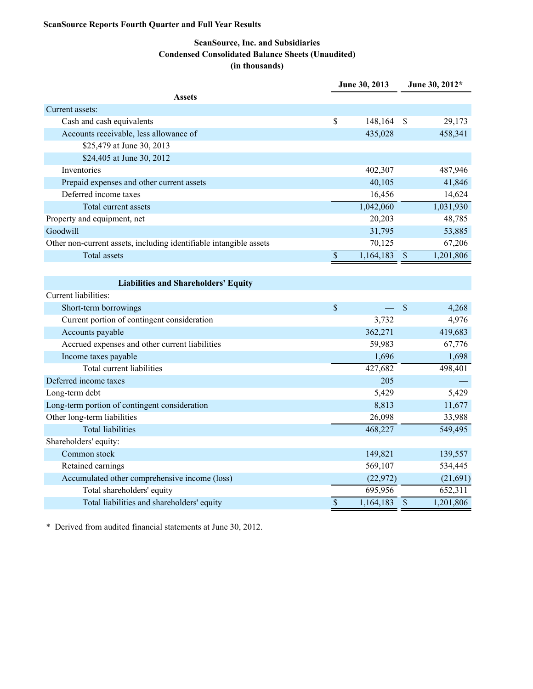# **ScanSource, Inc. and Subsidiaries Condensed Consolidated Balance Sheets (Unaudited) (in thousands)**

|                                                                    |                 | June 30, 2013 |                          | June 30, 2012* |
|--------------------------------------------------------------------|-----------------|---------------|--------------------------|----------------|
| Assets                                                             |                 |               |                          |                |
| Current assets:                                                    |                 |               |                          |                |
| Cash and cash equivalents                                          | \$              | 148,164       | \$                       | 29,173         |
| Accounts receivable, less allowance of                             |                 | 435,028       |                          | 458,341        |
| \$25,479 at June 30, 2013                                          |                 |               |                          |                |
| \$24,405 at June 30, 2012                                          |                 |               |                          |                |
| Inventories                                                        |                 | 402,307       |                          | 487,946        |
| Prepaid expenses and other current assets                          |                 | 40,105        |                          | 41,846         |
| Deferred income taxes                                              |                 | 16,456        |                          | 14,624         |
| Total current assets                                               |                 | 1,042,060     |                          | 1,031,930      |
| Property and equipment, net                                        |                 | 20,203        |                          | 48,785         |
| Goodwill                                                           |                 | 31,795        |                          | 53,885         |
| Other non-current assets, including identifiable intangible assets |                 | 70,125        |                          | 67,206         |
| <b>Total assets</b>                                                | $\sqrt{3}$      | 1,164,183     | $\mathcal{S}$            | 1,201,806      |
|                                                                    |                 |               |                          |                |
| <b>Liabilities and Shareholders' Equity</b>                        |                 |               |                          |                |
| Current liabilities:                                               |                 |               |                          |                |
| Short-term borrowings                                              | \$              | $\equiv$      | $\mathcal{S}$            | 4,268          |
| Current portion of contingent consideration                        |                 | 3,732         |                          | 4,976          |
| Accounts payable                                                   |                 | 362,271       |                          | 419,683        |
| Accrued expenses and other current liabilities                     |                 | 59,983        |                          | 67,776         |
| Income taxes payable                                               |                 | 1,696         |                          | 1,698          |
| Total current liabilities                                          |                 | 427,682       |                          | 498,401        |
| Deferred income taxes                                              |                 | 205           |                          |                |
| Long-term debt                                                     |                 | 5,429         |                          | 5,429          |
| Long-term portion of contingent consideration                      |                 | 8,813         |                          | 11,677         |
| Other long-term liabilities                                        |                 | 26,098        |                          | 33,988         |
| <b>Total liabilities</b>                                           |                 | 468,227       |                          | 549,495        |
| Shareholders' equity:                                              |                 |               |                          |                |
| Common stock                                                       |                 | 149,821       |                          | 139,557        |
| Retained earnings                                                  |                 | 569,107       |                          | 534,445        |
| Accumulated other comprehensive income (loss)                      |                 | (22, 972)     |                          | (21,691)       |
| Total shareholders' equity                                         |                 | 695,956       |                          | 652,311        |
| Total liabilities and shareholders' equity                         | $\overline{\$}$ | 1,164,183     | $\overline{\mathcal{S}}$ | 1,201,806      |

\* Derived from audited financial statements at June 30, 2012.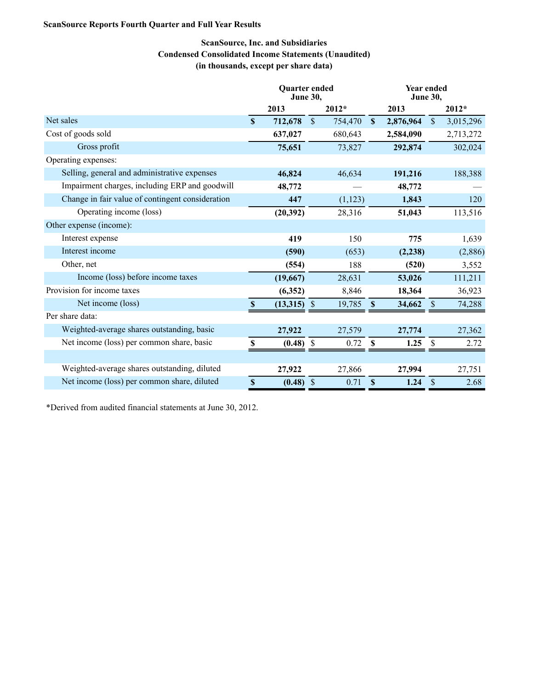# **ScanSource, Inc. and Subsidiaries Condensed Consolidated Income Statements (Unaudited) (in thousands, except per share data)**

|                                                  | <b>Quarter ended</b><br>June 30, |               |               |          |                           | <b>Year ended</b><br>June 30, |                           |           |  |  |
|--------------------------------------------------|----------------------------------|---------------|---------------|----------|---------------------------|-------------------------------|---------------------------|-----------|--|--|
|                                                  |                                  | 2013          |               | $2012*$  |                           | 2013                          |                           | $2012*$   |  |  |
| Net sales                                        | $\mathbf S$                      | 712,678       | $\mathbb{S}$  | 754,470  | $\mathbf S$               | 2,876,964                     | $\boldsymbol{\mathsf{S}}$ | 3,015,296 |  |  |
| Cost of goods sold                               |                                  | 637,027       |               | 680,643  |                           | 2,584,090                     |                           | 2,713,272 |  |  |
| Gross profit                                     |                                  | 75,651        |               | 73,827   |                           | 292,874                       |                           | 302,024   |  |  |
| Operating expenses:                              |                                  |               |               |          |                           |                               |                           |           |  |  |
| Selling, general and administrative expenses     |                                  | 46,824        |               | 46,634   |                           | 191,216                       |                           | 188,388   |  |  |
| Impairment charges, including ERP and goodwill   |                                  | 48,772        |               |          |                           | 48,772                        |                           |           |  |  |
| Change in fair value of contingent consideration |                                  | 447           |               | (1, 123) |                           | 1,843                         |                           | 120       |  |  |
| Operating income (loss)                          |                                  | (20, 392)     |               | 28,316   |                           | 51,043                        |                           | 113,516   |  |  |
| Other expense (income):                          |                                  |               |               |          |                           |                               |                           |           |  |  |
| Interest expense                                 |                                  | 419           |               | 150      |                           | 775                           |                           | 1,639     |  |  |
| Interest income                                  |                                  | (590)         |               | (653)    |                           | (2,238)                       |                           | (2,886)   |  |  |
| Other, net                                       |                                  | (554)         |               | 188      |                           | (520)                         |                           | 3,552     |  |  |
| Income (loss) before income taxes                |                                  | (19,667)      |               | 28,631   |                           | 53,026                        |                           | 111,211   |  |  |
| Provision for income taxes                       |                                  | (6,352)       |               | 8,846    |                           | 18,364                        |                           | 36,923    |  |  |
| Net income (loss)                                | $\boldsymbol{\mathsf{S}}$        | $(13,315)$ \$ |               | 19,785   | $\mathbf{\$}$             | 34,662                        | S                         | 74,288    |  |  |
| Per share data:                                  |                                  |               |               |          |                           |                               |                           |           |  |  |
| Weighted-average shares outstanding, basic       |                                  | 27,922        |               | 27,579   |                           | 27,774                        |                           | 27,362    |  |  |
| Net income (loss) per common share, basic        | S                                | $(0.48)$ \$   |               | 0.72     | $\boldsymbol{\mathsf{s}}$ | 1.25                          | \$                        | 2.72      |  |  |
|                                                  |                                  |               |               |          |                           |                               |                           |           |  |  |
| Weighted-average shares outstanding, diluted     |                                  | 27,922        |               | 27,866   |                           | 27,994                        |                           | 27,751    |  |  |
| Net income (loss) per common share, diluted      | $\boldsymbol{\mathsf{S}}$        | (0.48)        | $\mathcal{S}$ | 0.71     | $\mathbf S$               | 1.24                          | $\mathcal{S}$             | 2.68      |  |  |

\*Derived from audited financial statements at June 30, 2012.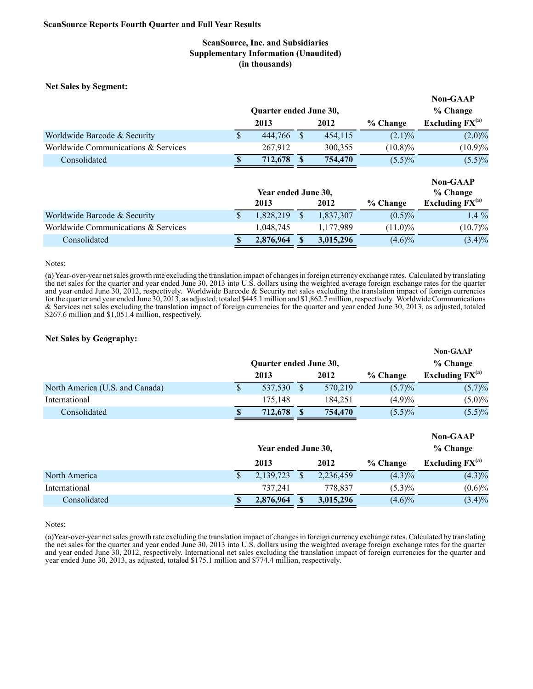### **ScanSource, Inc. and Subsidiaries Supplementary Information (Unaudited) (in thousands)**

**Net Sales by Segment:**

|                                     |          |                             |          |         |            | <b>Non-GAAP</b>                                     |
|-------------------------------------|----------|-----------------------------|----------|---------|------------|-----------------------------------------------------|
|                                     |          | % Change                    |          |         |            |                                                     |
|                                     |          | 2013                        |          | 2012    | % Change   | Excluding $FX^{(a)}$                                |
| Worldwide Barcode & Security        | S        | 444,766                     | S        | 454,115 | $(2.1)\%$  | $(2.0)\%$                                           |
| Worldwide Communications & Services |          | 267,912                     |          | 300,355 | $(10.8)\%$ | $(10.9)\%$                                          |
| Consolidated                        | <b>S</b> | 712,678                     | <b>S</b> | 754,470 | $(5.5)\%$  | $(5.5)\%$                                           |
|                                     |          | Year ended June 30,<br>2013 |          | 2012    | % Change   | <b>Non-GAAP</b><br>% Change<br>Excluding $FX^{(a)}$ |

|                                     | 201J         | 2014      | 70 Спанде  | <b>EAGUUILE FA</b> |
|-------------------------------------|--------------|-----------|------------|--------------------|
| Worldwide Barcode & Security        | 1.828.219 \$ | 1.837.307 | $(0.5)\%$  | $.4\%$             |
| Worldwide Communications & Services | 1.048.745    | 1.177.989 | $(11.0)\%$ | $(10.7)\%$         |
| Consolidated                        | 2.876,964 \$ | 3.015.296 | $(4.6)\%$  | $(3.4)\%$          |

Notes:

(a) Year-over-year net sales growth rate excluding the translation impact of changes in foreign currency exchange rates. Calculated by translating the net sales for the quarter and year ended June 30, 2013 into U.S. dollars using the weighted average foreign exchange rates for the quarter and year ended June 30, 2012, respectively. Worldwide Barcode & Security net sales excluding the translation impact of foreign currencies for the quarter and year ended June 30, 2013, as adjusted, totaled \$445.1 million and \$1,862.7 million, respectively. Worldwide Communications & Services net sales excluding the translation impact of foreign currencies for the quarter and year ended June 30, 2013, as adjusted, totaled \$267.6 million and \$1,051.4 million, respectively.

#### **Net Sales by Geography:**

|                                 |                        |         |           | <b>Non-GAAP</b>      |
|---------------------------------|------------------------|---------|-----------|----------------------|
|                                 | Quarter ended June 30, |         |           | % Change             |
|                                 | 2013                   | 2012    | % Change  | Excluding $FX^{(a)}$ |
| North America (U.S. and Canada) | 537.530                | 570.219 | (5.7)%    | $(5.7)\%$            |
| International                   | 175.148                | 184.251 | (4.9)%    | $(5.0)\%$            |
| Consolidated                    | 712,678                | 754,470 | $(5.5)\%$ | $(5.5)\%$            |

|               | Year ended June 30, |     |           |           | <b>Non-GAAP</b><br>$%$ Change |
|---------------|---------------------|-----|-----------|-----------|-------------------------------|
|               | 2013                |     | 2012      | % Change  | Excluding $FX^{(a)}$          |
| North America | 2,139,723           | \$. | 2,236,459 | $(4.3)\%$ | $(4.3)\%$                     |
| International | 737.241             |     | 778.837   | $(5.3)\%$ | $(0.6)\%$                     |
| Consolidated  | 2,876,964           |     | 3,015,296 | $(4.6)\%$ | $(3.4)\%$                     |

Notes:

(a)Year-over-year net sales growth rate excluding the translation impact of changes in foreign currency exchange rates. Calculated by translating the net sales for the quarter and year ended June 30, 2013 into U.S. dollars using the weighted average foreign exchange rates for the quarter and year ended June 30, 2012, respectively. International net sales excluding the translation impact of foreign currencies for the quarter and year ended June 30, 2013, as adjusted, totaled \$175.1 million and \$774.4 million, respectively.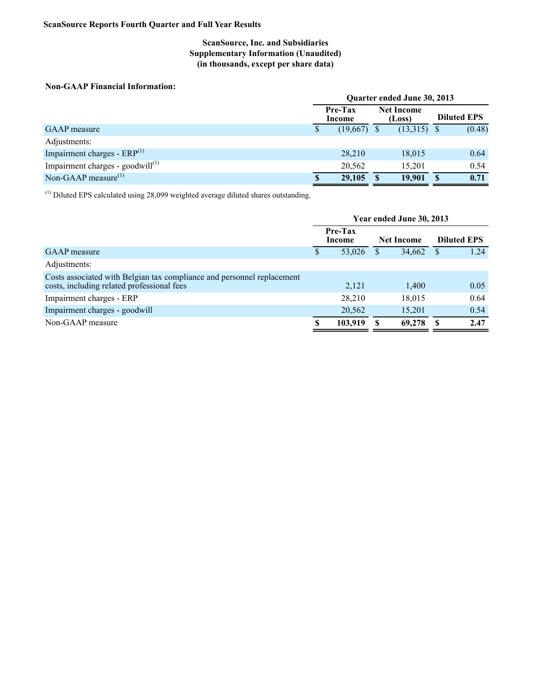### **ScanSource, Inc. and Subsidiaries Supplementary Information (Unaudited) (in thousands, except per share data)**

# **Non-GAAP Financial Information:**

|                                        | Quarter ended June 30, 2013 |                   |  |                             |   |                    |  |  |
|----------------------------------------|-----------------------------|-------------------|--|-----------------------------|---|--------------------|--|--|
|                                        |                             | Pre-Tax<br>Income |  | <b>Net Income</b><br>(Loss) |   | <b>Diluted EPS</b> |  |  |
| <b>GAAP</b> measure                    |                             | $(19,667)$ \$     |  | $(13,315)$ \$               |   | (0.48)             |  |  |
| Adjustments:                           |                             |                   |  |                             |   |                    |  |  |
| Impairment charges - $ERP^{(1)}$       |                             | 28,210            |  | 18,015                      |   | 0.64               |  |  |
| Impairment charges - goodwill $^{(1)}$ |                             | 20,562            |  | 15.201                      |   | 0.54               |  |  |
| Non-GAAP measure $^{(1)}$              |                             | 29,105            |  | 19.901                      | S | 0.71               |  |  |

(1) Diluted EPS calculated using 28,099 weighted average diluted shares outstanding.

|                                                                                                                      | Year ended June 30, 2013 |         |   |                   |              |      |  |
|----------------------------------------------------------------------------------------------------------------------|--------------------------|---------|---|-------------------|--------------|------|--|
|                                                                                                                      | Pre-Tax<br>Income        |         |   | <b>Net Income</b> |              |      |  |
| <b>GAAP</b> measure                                                                                                  | $\mathbf{D}$             | 53,026  |   | 34,662            | <sup>8</sup> | 1.24 |  |
| Adjustments:                                                                                                         |                          |         |   |                   |              |      |  |
| Costs associated with Belgian tax compliance and personnel replacement<br>costs, including related professional fees |                          | 2,121   |   | 1,400             |              | 0.05 |  |
| Impairment charges - ERP                                                                                             |                          | 28,210  |   | 18,015            |              | 0.64 |  |
| Impairment charges - goodwill                                                                                        |                          | 20,562  |   | 15,201            |              | 0.54 |  |
| Non-GAAP measure                                                                                                     |                          | 103,919 | S | 69,278            | -S           | 2.47 |  |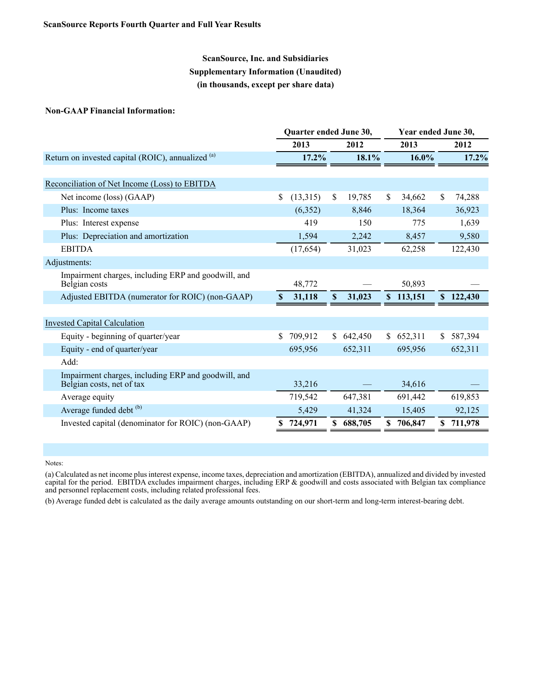# **ScanSource, Inc. and Subsidiaries Supplementary Information (Unaudited) (in thousands, except per share data)**

### **Non-GAAP Financial Information:**

|                                                                                  | Quarter ended June 30, |           |    |         |    | Year ended June 30, |    |           |  |
|----------------------------------------------------------------------------------|------------------------|-----------|----|---------|----|---------------------|----|-----------|--|
|                                                                                  |                        | 2013      |    | 2012    |    | 2013                |    | 2012      |  |
| Return on invested capital (ROIC), annualized (a)                                |                        | 17.2%     |    | 18.1%   |    | 16.0%               |    | 17.2%     |  |
|                                                                                  |                        |           |    |         |    |                     |    |           |  |
| Reconciliation of Net Income (Loss) to EBITDA                                    |                        |           |    |         |    |                     |    |           |  |
| Net income (loss) (GAAP)                                                         | S                      | (13,315)  | \$ | 19,785  | S. | 34,662              | S. | 74,288    |  |
| Plus: Income taxes                                                               |                        | (6,352)   |    | 8,846   |    | 18,364              |    | 36,923    |  |
| Plus: Interest expense                                                           |                        | 419       |    | 150     |    | 775                 |    | 1,639     |  |
| Plus: Depreciation and amortization                                              |                        | 1,594     |    | 2,242   |    | 8,457               |    | 9,580     |  |
| <b>EBITDA</b>                                                                    |                        | (17, 654) |    | 31,023  |    | 62,258              |    | 122,430   |  |
| Adjustments:                                                                     |                        |           |    |         |    |                     |    |           |  |
| Impairment charges, including ERP and goodwill, and<br>Belgian costs             |                        | 48,772    |    |         |    | 50,893              |    |           |  |
| Adjusted EBITDA (numerator for ROIC) (non-GAAP)                                  | S                      | 31,118    | \$ | 31,023  |    | \$113,151           |    | \$122,430 |  |
|                                                                                  |                        |           |    |         |    |                     |    |           |  |
| <b>Invested Capital Calculation</b>                                              |                        |           |    |         |    |                     |    |           |  |
| Equity - beginning of quarter/year                                               | S                      | 709,912   | S. | 642,450 |    | \$652,311           | S. | 587,394   |  |
| Equity - end of quarter/year                                                     |                        | 695,956   |    | 652,311 |    | 695,956             |    | 652,311   |  |
| Add:                                                                             |                        |           |    |         |    |                     |    |           |  |
| Impairment charges, including ERP and goodwill, and<br>Belgian costs, net of tax |                        | 33,216    |    |         |    | 34,616              |    |           |  |
| Average equity                                                                   |                        | 719,542   |    | 647,381 |    | 691,442             |    | 619,853   |  |
| Average funded debt (b)                                                          |                        | 5,429     |    | 41,324  |    | 15,405              |    | 92,125    |  |
| Invested capital (denominator for ROIC) (non-GAAP)                               |                        | 724,971   | S  | 688,705 |    | 706,847             | \$ | 711,978   |  |

Notes:

(a) Calculated as net income plus interest expense, income taxes, depreciation and amortization (EBITDA), annualized and divided by invested capital for the period. EBITDA excludes impairment charges, including ERP & goodwill and costs associated with Belgian tax compliance and personnel replacement costs, including related professional fees.

(b) Average funded debt is calculated as the daily average amounts outstanding on our short-term and long-term interest-bearing debt.